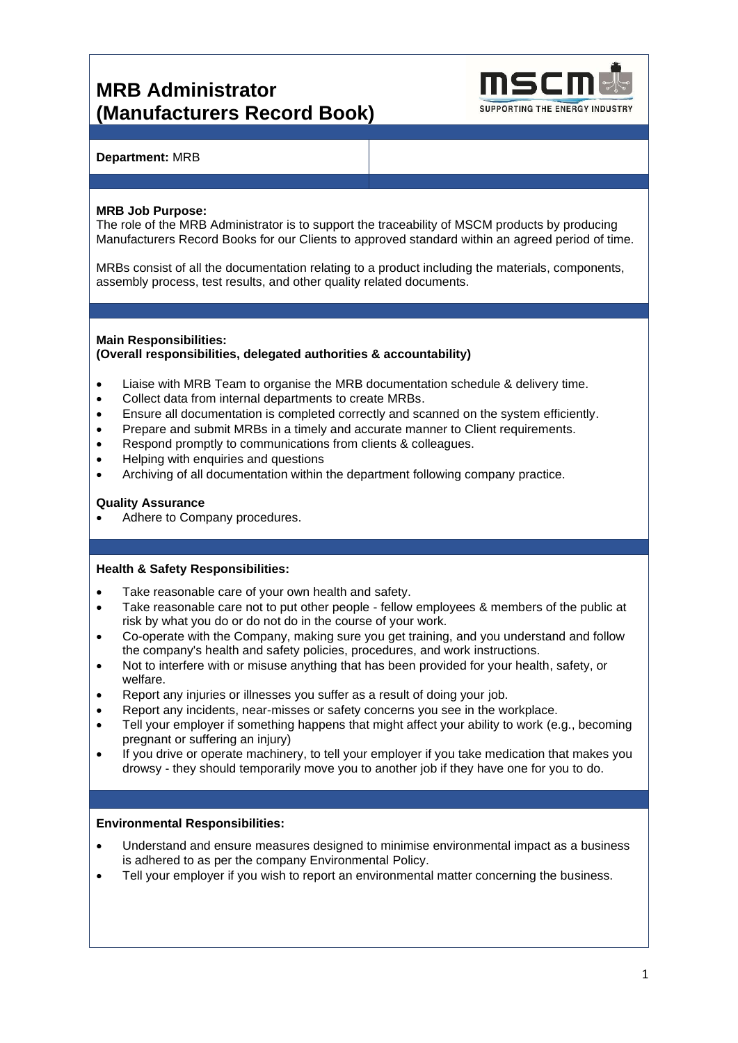# **MRB Administrator (Manufacturers Record Book)**



# **Department:** MRB

### **MRB Job Purpose:**

The role of the MRB Administrator is to support the traceability of MSCM products by producing Manufacturers Record Books for our Clients to approved standard within an agreed period of time.

MRBs consist of all the documentation relating to a product including the materials, components, assembly process, test results, and other quality related documents.

#### **Main Responsibilities: (Overall responsibilities, delegated authorities & accountability)**

- Liaise with MRB Team to organise the MRB documentation schedule & delivery time.
- Collect data from internal departments to create MRBs.
- Ensure all documentation is completed correctly and scanned on the system efficiently.
- Prepare and submit MRBs in a timely and accurate manner to Client requirements.
- Respond promptly to communications from clients & colleagues.
- Helping with enquiries and questions
- Archiving of all documentation within the department following company practice.

### **Quality Assurance**

Adhere to Company procedures.

# **Health & Safety Responsibilities:**

- Take reasonable care of your own health and safety.
- Take reasonable care not to put other people fellow employees & members of the public at risk by what you do or do not do in the course of your work.
- Co-operate with the Company, making sure you get training, and you understand and follow the company's health and safety policies, procedures, and work instructions.
- Not to interfere with or misuse anything that has been provided for your health, safety, or welfare.
- Report any injuries or illnesses you suffer as a result of doing your job.
- Report any incidents, near-misses or safety concerns you see in the workplace.
- Tell your employer if something happens that might affect your ability to work (e.g., becoming pregnant or suffering an injury)
- If you drive or operate machinery, to tell your employer if you take medication that makes you drowsy - they should temporarily move you to another job if they have one for you to do.

### **Environmental Responsibilities:**

- Understand and ensure measures designed to minimise environmental impact as a business is adhered to as per the company Environmental Policy.
- Tell your employer if you wish to report an environmental matter concerning the business.